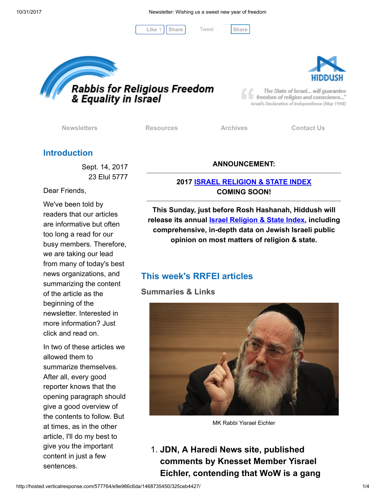[Tweet](https://twitter.com/intent/tweet?original_referer=http%3A%2F%2Fhosted.verticalresponse.com%2F577764%2Fe9e986c6da%2F1468735450%2F325ceb4427%2F&ref_src=twsrc%5Etfw&text=Newsletter%3A%20Wishing%20us%20a%20sweet%20new%20year%20of%20freedom&tw_p=tweetbutton&url=http%3A%2F%2Fhosted-p0.vresp.com%2F577764%2Fe9e986c6da%2FARCHIVE%23.WfjgheK48OQ.twitter)

Like 1 | [Share](javascript:void(0);) | Tweet | Share





The State of Israel... will guarantee freedom of religion and conscience..." Israel's Declaration of Independence (May 1948)

[Newsletters](http://cts.vresp.com/c/?FreedomofReligionfor/e9e986c6da/325ceb4427/02d1f26210) **[Resources](http://cts.vresp.com/c/?FreedomofReligionfor/e9e986c6da/325ceb4427/7c4bfeb83b)** [Archives](http://cts.vresp.com/c/?FreedomofReligionfor/e9e986c6da/325ceb4427/0287cf9909) [Contact Us](http://cts.vresp.com/c/?FreedomofReligionfor/e9e986c6da/325ceb4427/74c9986d28)

## Introduction

Sept. 14, 2017 23 Elul 5777

Dear Friends,

We've been told by readers that our articles are informative but often too long a read for our busy members. Therefore, we are taking our lead from many of today's best news organizations, and summarizing the content of the article as the beginning of the newsletter. Interested in more information? Just click and read on.

In two of these articles we allowed them to summarize themselves. After all, every good reporter knows that the opening paragraph should give a good overview of the contents to follow. But at times, as in the other article, I'll do my best to give you the important content in just a few sentences.

#### ANNOUNCEMENT:

#### 2017 [ISRAEL RELIGION & STATE INDEX](http://cts.vresp.com/c/?FreedomofReligionfor/e9e986c6da/325ceb4427/1cbe078004) COMING SOON!

This Sunday, just before Rosh Hashanah, Hiddush will release its annual **Israel Religion & State Index**, including comprehensive, in-depth data on Jewish Israeli public opinion on most matters of religion & state.

## This week's RRFEI articles

Summaries & Links



MK Rabbi Yisrael Eichler

1. JDN, A Haredi News site, published comments by Knesset Member Yisrael Eichler, contending that WoW is a gang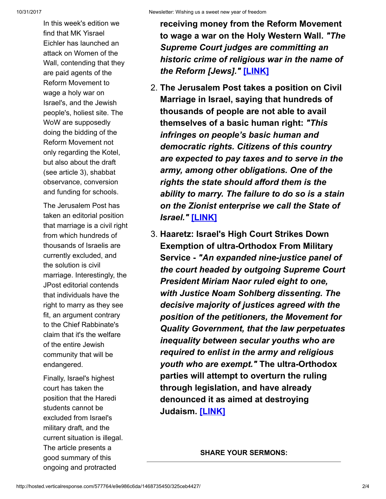In this week's edition we find that MK Yisrael Eichler has launched an attack on Women of the Wall, contending that they are paid agents of the Reform Movement to wage a holy war on Israel's, and the Jewish people's, holiest site. The WoW are supposedly doing the bidding of the Reform Movement not only regarding the Kotel, but also about the draft (see article 3), shabbat observance, conversion and funding for schools.

The Jerusalem Post has taken an editorial position that marriage is a civil right from which hundreds of thousands of Israelis are currently excluded, and the solution is civil marriage. Interestingly, the JPost editorial contends that individuals have the right to marry as they see fit, an argument contrary to the Chief Rabbinate's claim that it's the welfare of the entire Jewish community that will be endangered.

Finally, Israel's highest court has taken the position that the Haredi students cannot be excluded from Israel's military draft, and the current situation is illegal. The article presents a good summary of this ongoing and protracted

receiving money from the Reform Movement to wage a war on the Holy Western Wall. "The Supreme Court judges are committing an historic crime of religious war in the name of the Reform [Jews]." [\[LINK\]](http://cts.vresp.com/c/?FreedomofReligionfor/e9e986c6da/325ceb4427/4eaa796698)

- 2. The Jerusalem Post takes a position on Civil Marriage in Israel, saying that hundreds of thousands of people are not able to avail themselves of a basic human right: "This infringes on people's basic human and democratic rights. Citizens of this country are expected to pay taxes and to serve in the army, among other obligations. One of the rights the state should afford them is the ability to marry. The failure to do so is a stain on the Zionist enterprise we call the State of Israel." [\[LINK\]](http://cts.vresp.com/c/?FreedomofReligionfor/e9e986c6da/325ceb4427/f9105fd44e)
- 3. Haaretz: Israel's High Court Strikes Down Exemption of ultra-Orthodox From Military Service - "An expanded nine-justice panel of the court headed by outgoing Supreme Court President Miriam Naor ruled eight to one, with Justice Noam Sohlberg dissenting. The decisive majority of justices agreed with the position of the petitioners, the Movement for Quality Government, that the law perpetuates inequality between secular youths who are required to enlist in the army and religious youth who are exempt." The ultra-Orthodox parties will attempt to overturn the ruling through legislation, and have already denounced it as aimed at destroying Judaism. [\[LINK\]](http://cts.vresp.com/c/?FreedomofReligionfor/e9e986c6da/325ceb4427/d45b84e574)

SHARE YOUR SERMONS: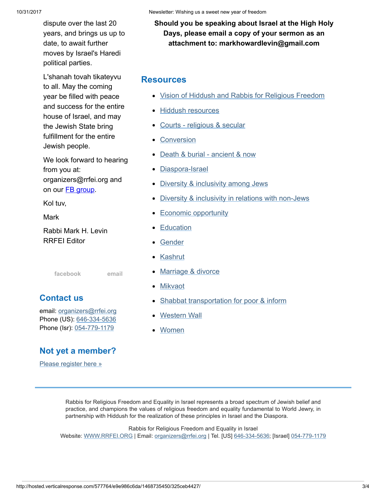10/31/2017 Newsletter: Wishing us a sweet new year of freedom

dispute over the last 20 years, and brings us up to date, to await further moves by Israel's Haredi political parties.

L'shanah tovah tikateyvu to all. May the coming year be filled with peace and success for the entire house of Israel, and may the Jewish State bring fulfillment for the entire Jewish people.

We look forward to hearing from you at: organizers@rrfei.org and on our **FB** group.

Kol tuv,

Mark

Rabbi Mark H. Levin RRFEI Editor

[facebook](http://cts.vresp.com/c/?FreedomofReligionfor/e9e986c6da/325ceb4427/a5f9adcb0d) [email](mailto:organizers@rrfei.org)

## Contact us

email: [organizers@rrfei.org](mailto:organizers@rrfei.org) Phone (US): [646-334-5636](http://cts.vresp.com/c/?FreedomofReligionfor/e9e986c6da/325ceb4427/9a7b424d5d) Phone (Isr): [054-779-1179](http://cts.vresp.com/c/?FreedomofReligionfor/e9e986c6da/325ceb4427/72208b3bb7)

# Not yet a member?

[Please register here »](http://cts.vresp.com/c/?FreedomofReligionfor/e9e986c6da/325ceb4427/42100576d6)

Should you be speaking about Israel at the High Holy Days, please email a copy of your sermon as an attachment to: markhowardlevin@gmail.com

### **Resources**

- [Vision of Hiddush and Rabbis for Religious Freedom](http://cts.vresp.com/c/?FreedomofReligionfor/e9e986c6da/325ceb4427/e2c9d9e349)
- [Hiddush resources](http://cts.vresp.com/c/?FreedomofReligionfor/e9e986c6da/325ceb4427/0b5ac663c7)
- [Courts religious & secular](http://cts.vresp.com/c/?FreedomofReligionfor/e9e986c6da/325ceb4427/215e0a2bf0)
- [Conversion](http://cts.vresp.com/c/?FreedomofReligionfor/e9e986c6da/325ceb4427/6ac795dafe)
- [Death & burial ancient & now](http://cts.vresp.com/c/?FreedomofReligionfor/e9e986c6da/325ceb4427/ef9f0b401f)
- [Diaspora-Israel](http://cts.vresp.com/c/?FreedomofReligionfor/e9e986c6da/325ceb4427/31b9f85bbc)
- [Diversity & inclusivity among Jews](http://cts.vresp.com/c/?FreedomofReligionfor/e9e986c6da/325ceb4427/9892bc03e2)
- [Diversity & inclusivity in relations with non-Jews](http://cts.vresp.com/c/?FreedomofReligionfor/e9e986c6da/325ceb4427/9dd619e3c0)  $\bullet$
- [Economic opportunity](http://cts.vresp.com/c/?FreedomofReligionfor/e9e986c6da/325ceb4427/45bfba60c7)
- **[Education](http://cts.vresp.com/c/?FreedomofReligionfor/e9e986c6da/325ceb4427/dddf95f2e4)**
- [Gender](http://cts.vresp.com/c/?FreedomofReligionfor/e9e986c6da/325ceb4427/b25a8487fd)
- **[Kashrut](http://cts.vresp.com/c/?FreedomofReligionfor/e9e986c6da/325ceb4427/8b6e386d3f)**
- [Marriage & divorce](http://cts.vresp.com/c/?FreedomofReligionfor/e9e986c6da/325ceb4427/d757340ee7)
- **[Mikvaot](http://cts.vresp.com/c/?FreedomofReligionfor/e9e986c6da/325ceb4427/aaaf1efd08)**
- [Shabbat transportation for poor & inform](http://cts.vresp.com/c/?FreedomofReligionfor/e9e986c6da/325ceb4427/9599a06c8b)
- [Western Wall](http://cts.vresp.com/c/?FreedomofReligionfor/e9e986c6da/325ceb4427/33d045c8e3)
- [Women](http://cts.vresp.com/c/?FreedomofReligionfor/e9e986c6da/325ceb4427/60803bcc05)

Rabbis for Religious Freedom and Equality in Israel represents a broad spectrum of Jewish belief and practice, and champions the values of religious freedom and equality fundamental to World Jewry, in partnership with Hiddush for the realization of these principles in Israel and the Diaspora.

Rabbis for Religious Freedom and Equality in Israel Website: [WWW.RRFEI.ORG](http://cts.vresp.com/c/?FreedomofReligionfor/e9e986c6da/325ceb4427/9c98f1bd9e) | Email: [organizers@rrfei.org](mailto:organizers@rrfei.org) | Tel. [US] [646-334-5636](http://cts.vresp.com/c/?FreedomofReligionfor/e9e986c6da/325ceb4427/d883207281); [Israel] [054-779-1179](http://cts.vresp.com/c/?FreedomofReligionfor/e9e986c6da/325ceb4427/9f6296866f)